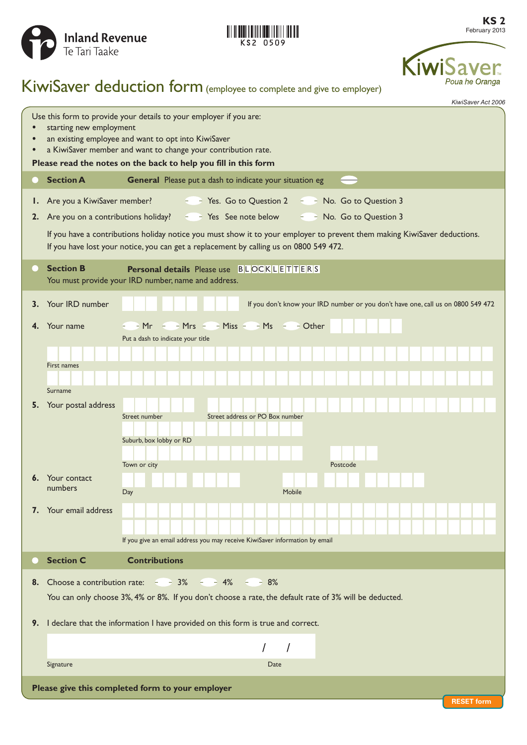



**KS 2** February 2013



# KiwiSaver deduction form (employee to complete and give to employer)

*KiwiSaver Act 2006*

| Use this form to provide your details to your employer if you are:<br>starting new employment<br>an existing employee and want to opt into KiwiSaver<br>a KiwiSaver member and want to change your contribution rate.<br>Please read the notes on the back to help you fill in this form |                                                                                  |                                                                                                                                                                                                                     |
|------------------------------------------------------------------------------------------------------------------------------------------------------------------------------------------------------------------------------------------------------------------------------------------|----------------------------------------------------------------------------------|---------------------------------------------------------------------------------------------------------------------------------------------------------------------------------------------------------------------|
|                                                                                                                                                                                                                                                                                          | <b>Section A</b>                                                                 | General Please put a dash to indicate your situation eg                                                                                                                                                             |
| Ι.<br>2.                                                                                                                                                                                                                                                                                 | Are you a KiwiSaver member?                                                      | $ -$ Yes. Go to Question 2 $ -$ No. Go to Question 3<br>Are you on a contributions holiday? $\epsilon = \epsilon$ Yes See note below<br>$ -$ No. Go to Question 3                                                   |
|                                                                                                                                                                                                                                                                                          |                                                                                  | If you have a contributions holiday notice you must show it to your employer to prevent them making KiwiSaver deductions.<br>If you have lost your notice, you can get a replacement by calling us on 0800 549 472. |
| ۰                                                                                                                                                                                                                                                                                        | <b>Section B</b>                                                                 | <b>Personal details</b> Please use <b>BLOCKLETTERS</b><br>You must provide your IRD number, name and address.                                                                                                       |
| 3.                                                                                                                                                                                                                                                                                       | Your IRD number                                                                  | If you don't know your IRD number or you don't have one, call us on 0800 549 472                                                                                                                                    |
| 4.                                                                                                                                                                                                                                                                                       | Your name                                                                        | $-Mr$ - $Mrs$ - $Miss$ - $MS$ - $MS$ - $Ms$                                                                                                                                                                         |
|                                                                                                                                                                                                                                                                                          | First names<br>Surname                                                           | Put a dash to indicate your title                                                                                                                                                                                   |
|                                                                                                                                                                                                                                                                                          | 5. Your postal address                                                           | Street address or PO Box number<br>Street number<br>Suburb, box lobby or RD<br>Town or city<br>Postcode                                                                                                             |
| 6.                                                                                                                                                                                                                                                                                       | Your contact<br>numbers                                                          | Mobile<br>Day                                                                                                                                                                                                       |
|                                                                                                                                                                                                                                                                                          | 7. Your email address                                                            | If you give an email address you may receive KiwiSaver information by email                                                                                                                                         |
|                                                                                                                                                                                                                                                                                          | <b>Section C</b>                                                                 | <b>Contributions</b>                                                                                                                                                                                                |
| 8.                                                                                                                                                                                                                                                                                       |                                                                                  | Choose a contribution rate: $-3\% - 4\% - 8\%$<br>You can only choose 3%, 4% or 8%. If you don't choose a rate, the default rate of 3% will be deducted.                                                            |
| 9.                                                                                                                                                                                                                                                                                       | I declare that the information I have provided on this form is true and correct. |                                                                                                                                                                                                                     |
|                                                                                                                                                                                                                                                                                          |                                                                                  | $\prime$                                                                                                                                                                                                            |
|                                                                                                                                                                                                                                                                                          | Signature                                                                        | Date                                                                                                                                                                                                                |
| Please give this completed form to your employer<br><b>RESET form</b>                                                                                                                                                                                                                    |                                                                                  |                                                                                                                                                                                                                     |